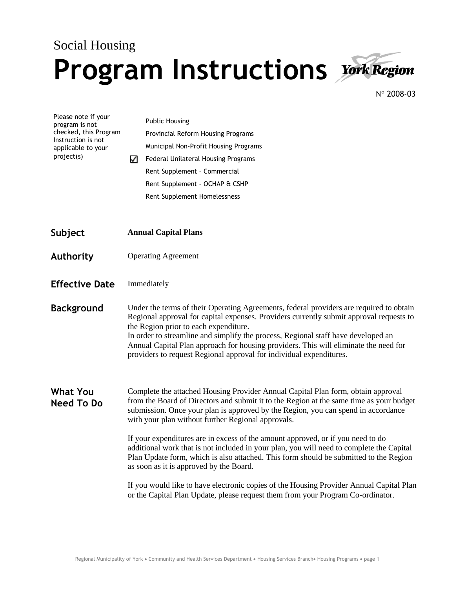## Social Housing **Program Instructions**



N° 2008-03

| Please note if your<br>program is not<br>checked, this Program<br>Instruction is not<br>applicable to your<br>project(s) |                                                                                                                                                                                                                                                                                                                                                                                                                                                                                 | <b>Public Housing</b><br>Provincial Reform Housing Programs                                                                                                                |
|--------------------------------------------------------------------------------------------------------------------------|---------------------------------------------------------------------------------------------------------------------------------------------------------------------------------------------------------------------------------------------------------------------------------------------------------------------------------------------------------------------------------------------------------------------------------------------------------------------------------|----------------------------------------------------------------------------------------------------------------------------------------------------------------------------|
|                                                                                                                          | ✓                                                                                                                                                                                                                                                                                                                                                                                                                                                                               | Municipal Non-Profit Housing Programs                                                                                                                                      |
|                                                                                                                          |                                                                                                                                                                                                                                                                                                                                                                                                                                                                                 | Federal Unilateral Housing Programs                                                                                                                                        |
|                                                                                                                          |                                                                                                                                                                                                                                                                                                                                                                                                                                                                                 | Rent Supplement - Commercial                                                                                                                                               |
|                                                                                                                          |                                                                                                                                                                                                                                                                                                                                                                                                                                                                                 | Rent Supplement - OCHAP & CSHP                                                                                                                                             |
|                                                                                                                          |                                                                                                                                                                                                                                                                                                                                                                                                                                                                                 | Rent Supplement Homelessness                                                                                                                                               |
| Subject                                                                                                                  | <b>Annual Capital Plans</b>                                                                                                                                                                                                                                                                                                                                                                                                                                                     |                                                                                                                                                                            |
| <b>Authority</b>                                                                                                         | <b>Operating Agreement</b>                                                                                                                                                                                                                                                                                                                                                                                                                                                      |                                                                                                                                                                            |
| <b>Effective Date</b>                                                                                                    | Immediately                                                                                                                                                                                                                                                                                                                                                                                                                                                                     |                                                                                                                                                                            |
| <b>Background</b>                                                                                                        | Under the terms of their Operating Agreements, federal providers are required to obtain<br>Regional approval for capital expenses. Providers currently submit approval requests to<br>the Region prior to each expenditure.<br>In order to streamline and simplify the process, Regional staff have developed an<br>Annual Capital Plan approach for housing providers. This will eliminate the need for<br>providers to request Regional approval for individual expenditures. |                                                                                                                                                                            |
| <b>What You</b><br><b>Need To Do</b>                                                                                     | Complete the attached Housing Provider Annual Capital Plan form, obtain approval<br>from the Board of Directors and submit it to the Region at the same time as your budget<br>submission. Once your plan is approved by the Region, you can spend in accordance<br>with your plan without further Regional approvals.                                                                                                                                                          |                                                                                                                                                                            |
|                                                                                                                          | If your expenditures are in excess of the amount approved, or if you need to do<br>additional work that is not included in your plan, you will need to complete the Capital<br>Plan Update form, which is also attached. This form should be submitted to the Region<br>as soon as it is approved by the Board.                                                                                                                                                                 |                                                                                                                                                                            |
|                                                                                                                          |                                                                                                                                                                                                                                                                                                                                                                                                                                                                                 | If you would like to have electronic copies of the Housing Provider Annual Capital Plan<br>or the Capital Plan Update, please request them from your Program Co-ordinator. |